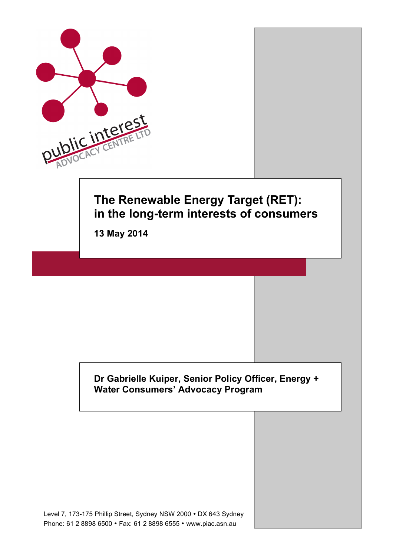

## **Dr Gabrielle Kuiper, Senior Policy Officer, Energy + Water Consumers' Advocacy Program**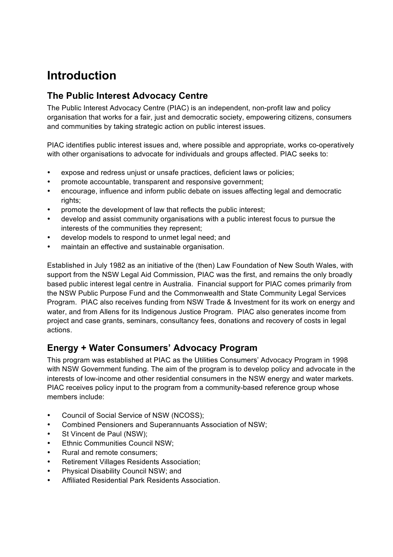# **Introduction**

# **The Public Interest Advocacy Centre**

The Public Interest Advocacy Centre (PIAC) is an independent, non-profit law and policy organisation that works for a fair, just and democratic society, empowering citizens, consumers and communities by taking strategic action on public interest issues.

PIAC identifies public interest issues and, where possible and appropriate, works co-operatively with other organisations to advocate for individuals and groups affected. PIAC seeks to:

- expose and redress uniust or unsafe practices, deficient laws or policies;
- promote accountable, transparent and responsive government;
- encourage, influence and inform public debate on issues affecting legal and democratic rights:
- promote the development of law that reflects the public interest;
- develop and assist community organisations with a public interest focus to pursue the interests of the communities they represent;
- develop models to respond to unmet legal need; and
- maintain an effective and sustainable organisation.

Established in July 1982 as an initiative of the (then) Law Foundation of New South Wales, with support from the NSW Legal Aid Commission, PIAC was the first, and remains the only broadly based public interest legal centre in Australia. Financial support for PIAC comes primarily from the NSW Public Purpose Fund and the Commonwealth and State Community Legal Services Program. PIAC also receives funding from NSW Trade & Investment for its work on energy and water, and from Allens for its Indigenous Justice Program. PIAC also generates income from project and case grants, seminars, consultancy fees, donations and recovery of costs in legal actions.

# **Energy + Water Consumers' Advocacy Program**

This program was established at PIAC as the Utilities Consumers' Advocacy Program in 1998 with NSW Government funding. The aim of the program is to develop policy and advocate in the interests of low-income and other residential consumers in the NSW energy and water markets. PIAC receives policy input to the program from a community-based reference group whose members include:

- Council of Social Service of NSW (NCOSS);
- Combined Pensioners and Superannuants Association of NSW;
- St Vincent de Paul (NSW);
- Ethnic Communities Council NSW;
- Rural and remote consumers;
- Retirement Villages Residents Association;
- Physical Disability Council NSW; and
- Affiliated Residential Park Residents Association.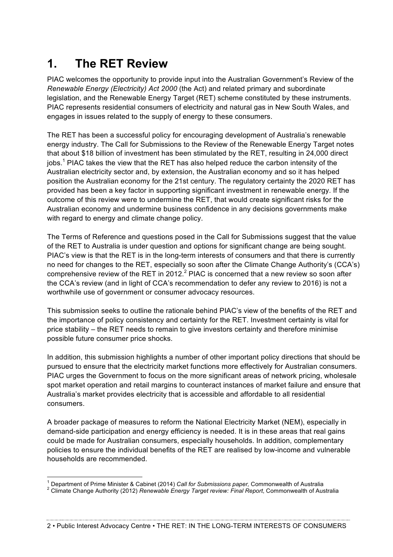# **1. The RET Review**

PIAC welcomes the opportunity to provide input into the Australian Government's Review of the *Renewable Energy (Electricity) Act 2000* (the Act) and related primary and subordinate legislation, and the Renewable Energy Target (RET) scheme constituted by these instruments. PIAC represents residential consumers of electricity and natural gas in New South Wales, and engages in issues related to the supply of energy to these consumers.

The RET has been a successful policy for encouraging development of Australia's renewable energy industry. The Call for Submissions to the Review of the Renewable Energy Target notes that about \$18 billion of investment has been stimulated by the RET, resulting in 24,000 direct jobs.<sup>1</sup> PIAC takes the view that the RET has also helped reduce the carbon intensity of the Australian electricity sector and, by extension, the Australian economy and so it has helped position the Australian economy for the 21st century. The regulatory certainty the 2020 RET has provided has been a key factor in supporting significant investment in renewable energy. If the outcome of this review were to undermine the RET, that would create significant risks for the Australian economy and undermine business confidence in any decisions governments make with regard to energy and climate change policy.

The Terms of Reference and questions posed in the Call for Submissions suggest that the value of the RET to Australia is under question and options for significant change are being sought. PIAC's view is that the RET is in the long-term interests of consumers and that there is currently no need for changes to the RET, especially so soon after the Climate Change Authority's (CCA's) comprehensive review of the RET in 2012.<sup>2</sup> PIAC is concerned that a new review so soon after the CCA's review (and in light of CCA's recommendation to defer any review to 2016) is not a worthwhile use of government or consumer advocacy resources.

This submission seeks to outline the rationale behind PIAC's view of the benefits of the RET and the importance of policy consistency and certainty for the RET. Investment certainty is vital for price stability – the RET needs to remain to give investors certainty and therefore minimise possible future consumer price shocks.

In addition, this submission highlights a number of other important policy directions that should be pursued to ensure that the electricity market functions more effectively for Australian consumers. PIAC urges the Government to focus on the more significant areas of network pricing, wholesale spot market operation and retail margins to counteract instances of market failure and ensure that Australia's market provides electricity that is accessible and affordable to all residential consumers.

A broader package of measures to reform the National Electricity Market (NEM), especially in demand-side participation and energy efficiency is needed. It is in these areas that real gains could be made for Australian consumers, especially households. In addition, complementary policies to ensure the individual benefits of the RET are realised by low-income and vulnerable households are recommended.

<sup>&</sup>lt;sup>1</sup> Department of Prime Minister & Cabinet (2014) *Call for Submissions paper, Commonwealth of Australia*<br><sup>2</sup> Climate Change Authority (2012) *Renewable Energy Target review: Final Report*, Commonwealth of Australia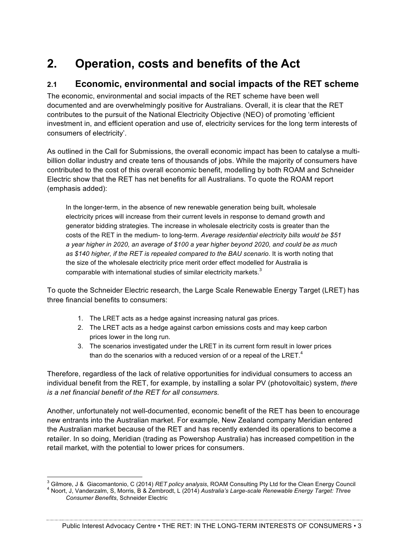# **2. Operation, costs and benefits of the Act**

## **2.1 Economic, environmental and social impacts of the RET scheme**

The economic, environmental and social impacts of the RET scheme have been well documented and are overwhelmingly positive for Australians. Overall, it is clear that the RET contributes to the pursuit of the National Electricity Objective (NEO) of promoting 'efficient investment in, and efficient operation and use of, electricity services for the long term interests of consumers of electricity'.

As outlined in the Call for Submissions, the overall economic impact has been to catalyse a multibillion dollar industry and create tens of thousands of jobs. While the majority of consumers have contributed to the cost of this overall economic benefit, modelling by both ROAM and Schneider Electric show that the RET has net benefits for all Australians. To quote the ROAM report (emphasis added):

In the longer-term, in the absence of new renewable generation being built, wholesale electricity prices will increase from their current levels in response to demand growth and generator bidding strategies. The increase in wholesale electricity costs is greater than the costs of the RET in the medium- to long-term. *Average residential electricity bills would be \$51 a year higher in 2020, an average of \$100 a year higher beyond 2020, and could be as much as \$140 higher, if the RET is repealed compared to the BAU scenario*. It is worth noting that the size of the wholesale electricity price merit order effect modelled for Australia is comparable with international studies of similar electricity markets.<sup>3</sup>

To quote the Schneider Electric research, the Large Scale Renewable Energy Target (LRET) has three financial benefits to consumers:

- 1. The LRET acts as a hedge against increasing natural gas prices.
- 2. The LRET acts as a hedge against carbon emissions costs and may keep carbon prices lower in the long run.
- 3. The scenarios investigated under the LRET in its current form result in lower prices than do the scenarios with a reduced version of or a repeal of the LRET. $4$

Therefore, regardless of the lack of relative opportunities for individual consumers to access an individual benefit from the RET, for example, by installing a solar PV (photovoltaic) system, *there is a net financial benefit of the RET for all consumers*.

Another, unfortunately not well-documented, economic benefit of the RET has been to encourage new entrants into the Australian market. For example, New Zealand company Meridian entered the Australian market because of the RET and has recently extended its operations to become a retailer. In so doing, Meridian (trading as Powershop Australia) has increased competition in the retail market, with the potential to lower prices for consumers.

Public Interest Advocacy Centre • THE RET: IN THE LONG-TERM INTERESTS OF CONSUMERS • 3

<sup>&</sup>lt;sup>3</sup> Gilmore, J & Giacomantonio, C (2014) RET policy analysis, ROAM Consulting Pty Ltd for the Clean Energy Council<br><sup>4</sup> Noort, J, Vanderzalm, S, Morris, B & Zembrodt, L (2014) Australia's Large-scale Renewable Energy Target *Consumer Benefits*, Schneider Electric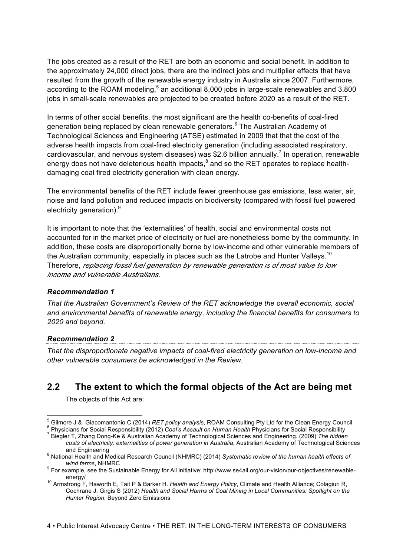The jobs created as a result of the RET are both an economic and social benefit. In addition to the approximately 24,000 direct jobs, there are the indirect jobs and multiplier effects that have resulted from the growth of the renewable energy industry in Australia since 2007. Furthermore, according to the ROAM modeling,  $5$  an additional 8,000 jobs in large-scale renewables and 3,800 jobs in small-scale renewables are projected to be created before 2020 as a result of the RET.

In terms of other social benefits, the most significant are the health co-benefits of coal-fired generation being replaced by clean renewable generators.<sup>6</sup> The Australian Academy of Technological Sciences and Engineering (ATSE) estimated in 2009 that that the cost of the adverse health impacts from coal-fired electricity generation (including associated respiratory, cardiovascular, and nervous system diseases) was \$2.6 billion annually.<sup>7</sup> In operation, renewable energy does not have deleterious health impacts, ${}^{8}$  and so the RET operates to replace healthdamaging coal fired electricity generation with clean energy.

The environmental benefits of the RET include fewer greenhouse gas emissions, less water, air, noise and land pollution and reduced impacts on biodiversity (compared with fossil fuel powered electricity generation).<sup>9</sup>

It is important to note that the 'externalities' of health, social and environmental costs not accounted for in the market price of electricity or fuel are nonetheless borne by the community. In addition, these costs are disproportionally borne by low-income and other vulnerable members of the Australian community, especially in places such as the Latrobe and Hunter Valleys. $^{10}$ Therefore, *replacing fossil fuel generation by renewable generation is of most value to low income and vulnerable Australians*.

#### *Recommendation 1*

*That the Australian Government's Review of the RET acknowledge the overall economic, social and environmental benefits of renewable energy, including the financial benefits for consumers to 2020 and beyond.*

#### *Recommendation 2*

*That the disproportionate negative impacts of coal-fired electricity generation on low-income and other vulnerable consumers be acknowledged in the Review.* 

## **2.2 The extent to which the formal objects of the Act are being met**

The objects of this Act are:

<sup>&</sup>lt;sup>5</sup> Gilmore J & Giacomantonio C (2014) RET policy analysis, ROAM Consulting Pty Ltd for the Clean Energy Council  $^{6}$  Physicians for Social Responsibility (2012) Coal's Assault on Human Health Physicians for Social Respo

*costs of electricity: externalities of power generation in Australia*, Australian Academy of Technological Sciences

<sup>&</sup>lt;sup>8</sup> National Health and Medical Research Council (NHMRC) (2014) *Systematic review of the human health effects of*<br>*wind farms*, NHMRC

<sup>&</sup>lt;sup>9</sup> For example, see the Sustainable Energy for All initiative: http://www.se4all.org/our-vision/our-objectives/renewableenergy/<br><sup>10</sup> Armstrong F, Haworth E, Tait P & Barker H. *Health and Energy Policy*, Climate and Health Alliance; Colagiuri R,

Cochrane J, Girgis S (2012) *Health and Social Harms of Coal Mining in Local Communities: Spotlight on the Hunter Region*, Beyond Zero Emissions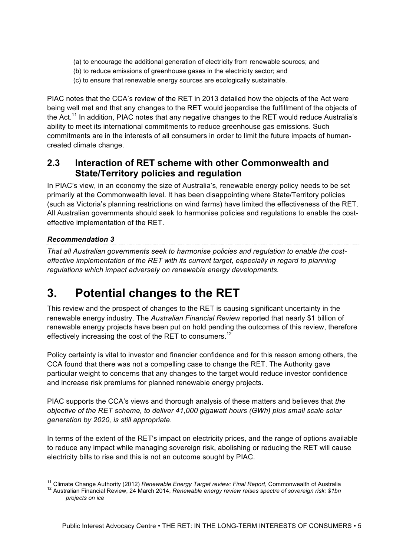- (a) to encourage the additional generation of electricity from renewable sources; and
- (b) to reduce emissions of greenhouse gases in the electricity sector; and
- (c) to ensure that renewable energy sources are ecologically sustainable.

PIAC notes that the CCA's review of the RET in 2013 detailed how the objects of the Act were being well met and that any changes to the RET would jeopardise the fulfillment of the objects of the Act.<sup>11</sup> In addition, PIAC notes that any negative changes to the RET would reduce Australia's ability to meet its international commitments to reduce greenhouse gas emissions. Such commitments are in the interests of all consumers in order to limit the future impacts of humancreated climate change.

## **2.3 Interaction of RET scheme with other Commonwealth and State/Territory policies and regulation**

In PIAC's view, in an economy the size of Australia's, renewable energy policy needs to be set primarily at the Commonwealth level. It has been disappointing where State/Territory policies (such as Victoria's planning restrictions on wind farms) have limited the effectiveness of the RET. All Australian governments should seek to harmonise policies and regulations to enable the costeffective implementation of the RET.

#### *Recommendation 3*

*That all Australian governments seek to harmonise policies and regulation to enable the costeffective implementation of the RET with its current target, especially in regard to planning regulations which impact adversely on renewable energy developments.*

# **3. Potential changes to the RET**

This review and the prospect of changes to the RET is causing significant uncertainty in the renewable energy industry. The *Australian Financial Review* reported that nearly \$1 billion of renewable energy projects have been put on hold pending the outcomes of this review, therefore effectively increasing the cost of the RET to consumers.<sup>12</sup>

Policy certainty is vital to investor and financier confidence and for this reason among others, the CCA found that there was not a compelling case to change the RET. The Authority gave particular weight to concerns that any changes to the target would reduce investor confidence and increase risk premiums for planned renewable energy projects.

PIAC supports the CCA's views and thorough analysis of these matters and believes that *the objective of the RET scheme, to deliver 41,000 gigawatt hours (GWh) plus small scale solar generation by 2020, is still appropriate*.

In terms of the extent of the RET's impact on electricity prices, and the range of options available to reduce any impact while managing sovereign risk, abolishing or reducing the RET will cause electricity bills to rise and this is not an outcome sought by PIAC.

Public Interest Advocacy Centre • THE RET: IN THE LONG-TERM INTERESTS OF CONSUMERS • 5

<sup>&</sup>lt;sup>11</sup> Climate Change Authority (2012) Renewable Energy Target review: Final Report, Commonwealth of Australia<br><sup>12</sup> Australian Financial Review, 24 March 2014, Renewable energy review raises spectre of sovereign risk: \$1bn *projects on ice*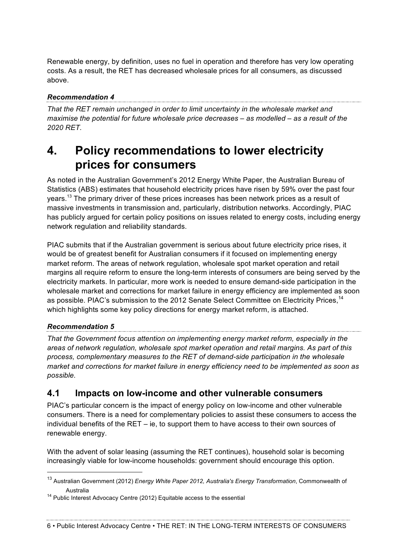Renewable energy, by definition, uses no fuel in operation and therefore has very low operating costs. As a result, the RET has decreased wholesale prices for all consumers, as discussed above.

#### *Recommendation 4*

*That the RET remain unchanged in order to limit uncertainty in the wholesale market and maximise the potential for future wholesale price decreases – as modelled – as a result of the 2020 RET.*

# **4. Policy recommendations to lower electricity prices for consumers**

As noted in the Australian Government's 2012 Energy White Paper, the Australian Bureau of Statistics (ABS) estimates that household electricity prices have risen by 59% over the past four years.<sup>13</sup> The primary driver of these prices increases has been network prices as a result of massive investments in transmission and, particularly, distribution networks. Accordingly, PIAC has publicly argued for certain policy positions on issues related to energy costs, including energy network regulation and reliability standards.

PIAC submits that if the Australian government is serious about future electricity price rises, it would be of greatest benefit for Australian consumers if it focused on implementing energy market reform. The areas of network regulation, wholesale spot market operation and retail margins all require reform to ensure the long-term interests of consumers are being served by the electricity markets. In particular, more work is needed to ensure demand-side participation in the wholesale market and corrections for market failure in energy efficiency are implemented as soon as possible. PIAC's submission to the 2012 Senate Select Committee on Electricity Prices,<sup>14</sup> which highlights some key policy directions for energy market reform, is attached.

## *Recommendation 5*

*That the Government focus attention on implementing energy market reform, especially in the areas of network regulation, wholesale spot market operation and retail margins. As part of this process, complementary measures to the RET of demand-side participation in the wholesale market and corrections for market failure in energy efficiency need to be implemented as soon as possible.*

#### **4.1 Impacts on low-income and other vulnerable consumers**

PIAC's particular concern is the impact of energy policy on low-income and other vulnerable consumers. There is a need for complementary policies to assist these consumers to access the individual benefits of the RET – ie, to support them to have access to their own sources of renewable energy.

With the advent of solar leasing (assuming the RET continues), household solar is becoming increasingly viable for low-income households: government should encourage this option.

 <sup>13</sup> Australian Government (2012) *Energy White Paper 2012, Australia's Energy Transformation*, Commonwealth of

Australia<br><sup>14</sup> Public Interest Advocacy Centre (2012) Equitable access to the essential